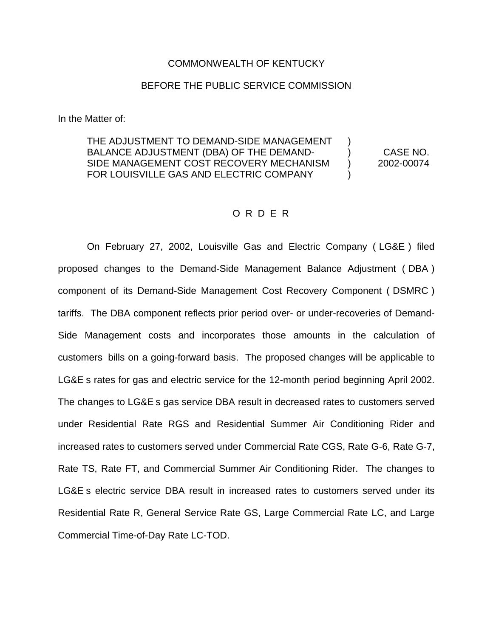## COMMONWEALTH OF KENTUCKY

## BEFORE THE PUBLIC SERVICE COMMISSION

In the Matter of:

THE ADJUSTMENT TO DEMAND-SIDE MANAGEMENT BALANCE ADJUSTMENT (DBA) OF THE DEMAND- ) CASE NO. SIDE MANAGEMENT COST RECOVERY MECHANISM ) 2002-00074 FOR LOUISVILLE GAS AND ELECTRIC COMPANY

## O R D E R

On February 27, 2002, Louisville Gas and Electric Company ( LG&E ) filed proposed changes to the Demand-Side Management Balance Adjustment ( DBA ) component of its Demand-Side Management Cost Recovery Component ( DSMRC ) tariffs. The DBA component reflects prior period over- or under-recoveries of Demand-Side Management costs and incorporates those amounts in the calculation of customers bills on a going-forward basis. The proposed changes will be applicable to LG&E s rates for gas and electric service for the 12-month period beginning April 2002. The changes to LG&E s gas service DBA result in decreased rates to customers served under Residential Rate RGS and Residential Summer Air Conditioning Rider and increased rates to customers served under Commercial Rate CGS, Rate G-6, Rate G-7, Rate TS, Rate FT, and Commercial Summer Air Conditioning Rider. The changes to LG&E s electric service DBA result in increased rates to customers served under its Residential Rate R, General Service Rate GS, Large Commercial Rate LC, and Large Commercial Time-of-Day Rate LC-TOD.